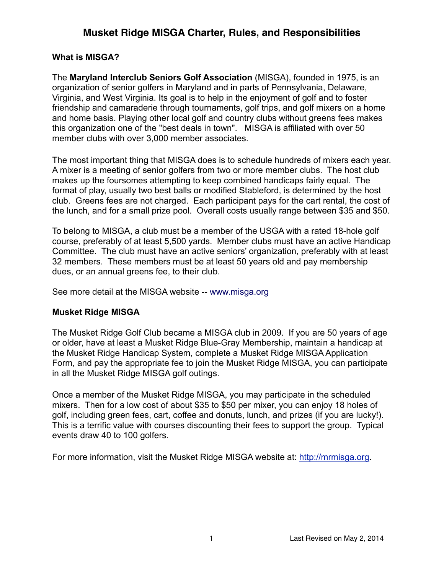#### **What is MISGA?**

The **Maryland Interclub Seniors Golf Association** (MISGA), founded in 1975, is an organization of senior golfers in Maryland and in parts of Pennsylvania, Delaware, Virginia, and West Virginia. Its goal is to help in the enjoyment of golf and to foster friendship and camaraderie through tournaments, golf trips, and golf mixers on a home and home basis. Playing other local golf and country clubs without greens fees makes this organization one of the "best deals in town". MISGA is affiliated with over 50 member clubs with over 3,000 member associates.

The most important thing that MISGA does is to schedule hundreds of mixers each year. A mixer is a meeting of senior golfers from two or more member clubs. The host club makes up the foursomes attempting to keep combined handicaps fairly equal. The format of play, usually two best balls or modified Stableford, is determined by the host club. Greens fees are not charged. Each participant pays for the cart rental, the cost of the lunch, and for a small prize pool. Overall costs usually range between \$35 and \$50.

To belong to MISGA, a club must be a member of the USGA with a rated 18-hole golf course, preferably of at least 5,500 yards. Member clubs must have an active Handicap Committee. The club must have an active seniors' organization, preferably with at least 32 members. These members must be at least 50 years old and pay membership dues, or an annual greens fee, to their club.

See more detail at the MISGA website -- [www.misga.org](http://www.misga.org)

#### **Musket Ridge MISGA**

The Musket Ridge Golf Club became a MISGA club in 2009. If you are 50 years of age or older, have at least a Musket Ridge Blue-Gray Membership, maintain a handicap at the Musket Ridge Handicap System, complete a Musket Ridge MISGA Application Form, and pay the appropriate fee to join the Musket Ridge MISGA, you can participate in all the Musket Ridge MISGA golf outings.

Once a member of the Musket Ridge MISGA, you may participate in the scheduled mixers. Then for a low cost of about \$35 to \$50 per mixer, you can enjoy 18 holes of golf, including green fees, cart, coffee and donuts, lunch, and prizes (if you are lucky!). This is a terrific value with courses discounting their fees to support the group. Typical events draw 40 to 100 golfers.

For more information, visit the Musket Ridge MISGA website at: [http://mrmisga.org.](http://mrmisga.org)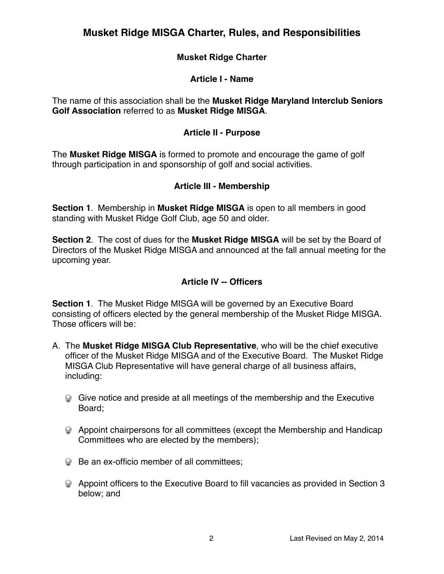### **Musket Ridge Charter**

#### **Article I - Name**

The name of this association shall be the **Musket Ridge Maryland Interclub Seniors Golf Association** referred to as **Musket Ridge MISGA**.

#### **Article II - Purpose**

The **Musket Ridge MISGA** is formed to promote and encourage the game of golf through participation in and sponsorship of golf and social activities.

#### **Article III - Membership**

**Section 1**. Membership in **Musket Ridge MISGA** is open to all members in good standing with Musket Ridge Golf Club, age 50 and older.

**Section 2**. The cost of dues for the **Musket Ridge MISGA** will be set by the Board of Directors of the Musket Ridge MISGA and announced at the fall annual meeting for the upcoming year.

#### **Article IV -- Officers**

**Section 1**. The Musket Ridge MISGA will be governed by an Executive Board consisting of officers elected by the general membership of the Musket Ridge MISGA. Those officers will be:

- A. The **Musket Ridge MISGA Club Representative**, who will be the chief executive officer of the Musket Ridge MISGA and of the Executive Board. The Musket Ridge MISGA Club Representative will have general charge of all business affairs, including:
	- Give notice and preside at all meetings of the membership and the Executive Board;
	- Appoint chairpersons for all committees (except the Membership and Handicap Committees who are elected by the members);
	- **Be an ex-officio member of all committees;**
	- Appoint officers to the Executive Board to fill vacancies as provided in Section 3 below; and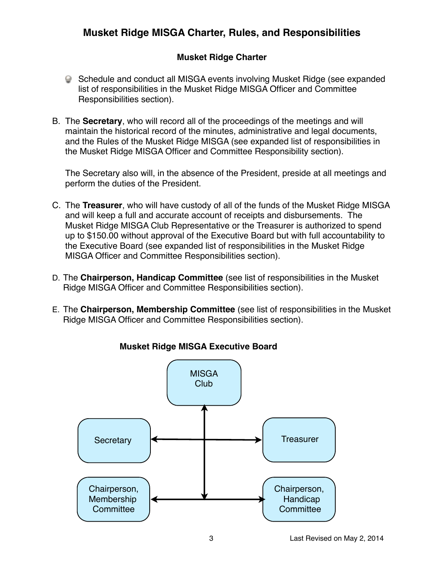## **Musket Ridge Charter**

- Schedule and conduct all MISGA events involving Musket Ridge (see expanded list of responsibilities in the Musket Ridge MISGA Officer and Committee Responsibilities section).
- B. The **Secretary**, who will record all of the proceedings of the meetings and will maintain the historical record of the minutes, administrative and legal documents, and the Rules of the Musket Ridge MISGA (see expanded list of responsibilities in the Musket Ridge MISGA Officer and Committee Responsibility section).

The Secretary also will, in the absence of the President, preside at all meetings and perform the duties of the President.

- C. The **Treasurer**, who will have custody of all of the funds of the Musket Ridge MISGA and will keep a full and accurate account of receipts and disbursements. The Musket Ridge MISGA Club Representative or the Treasurer is authorized to spend up to \$150.00 without approval of the Executive Board but with full accountability to the Executive Board (see expanded list of responsibilities in the Musket Ridge MISGA Officer and Committee Responsibilities section).
- D. The **Chairperson, Handicap Committee** (see list of responsibilities in the Musket Ridge MISGA Officer and Committee Responsibilities section).
- E. The **Chairperson, Membership Committee** (see list of responsibilities in the Musket Ridge MISGA Officer and Committee Responsibilities section).



## **Musket Ridge MISGA Executive Board**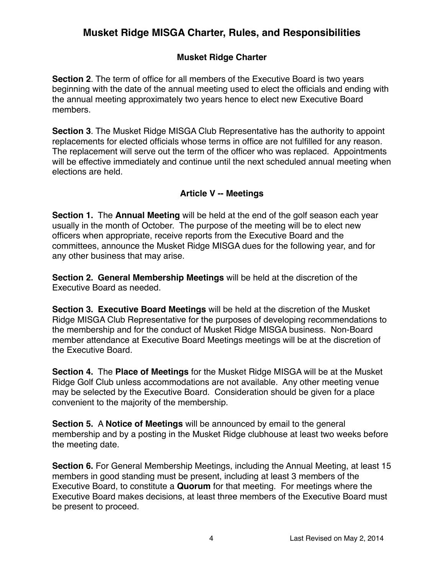## **Musket Ridge Charter**

**Section 2**. The term of office for all members of the Executive Board is two years beginning with the date of the annual meeting used to elect the officials and ending with the annual meeting approximately two years hence to elect new Executive Board members.

**Section 3**. The Musket Ridge MISGA Club Representative has the authority to appoint replacements for elected officials whose terms in office are not fulfilled for any reason. The replacement will serve out the term of the officer who was replaced. Appointments will be effective immediately and continue until the next scheduled annual meeting when elections are held.

### **Article V -- Meetings**

**Section 1.** The **Annual Meeting** will be held at the end of the golf season each year usually in the month of October. The purpose of the meeting will be to elect new officers when appropriate, receive reports from the Executive Board and the committees, announce the Musket Ridge MISGA dues for the following year, and for any other business that may arise.

**Section 2. General Membership Meetings** will be held at the discretion of the Executive Board as needed.

**Section 3. Executive Board Meetings** will be held at the discretion of the Musket Ridge MISGA Club Representative for the purposes of developing recommendations to the membership and for the conduct of Musket Ridge MISGA business. Non-Board member attendance at Executive Board Meetings meetings will be at the discretion of the Executive Board.

**Section 4.** The **Place of Meetings** for the Musket Ridge MISGA will be at the Musket Ridge Golf Club unless accommodations are not available. Any other meeting venue may be selected by the Executive Board. Consideration should be given for a place convenient to the majority of the membership.

**Section 5.** A **Notice of Meetings** will be announced by email to the general membership and by a posting in the Musket Ridge clubhouse at least two weeks before the meeting date.

**Section 6.** For General Membership Meetings, including the Annual Meeting, at least 15 members in good standing must be present, including at least 3 members of the Executive Board, to constitute a **Quorum** for that meeting. For meetings where the Executive Board makes decisions, at least three members of the Executive Board must be present to proceed.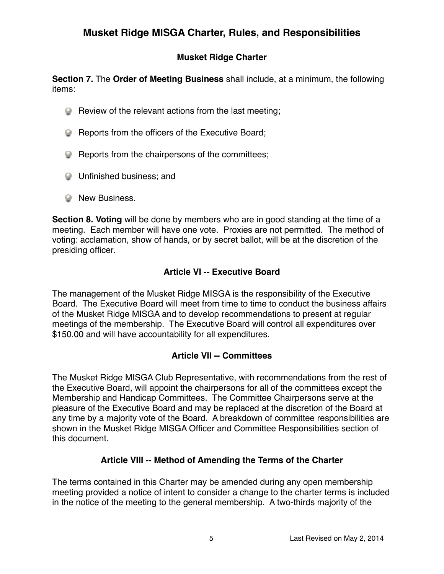## **Musket Ridge Charter**

**Section 7.** The **Order of Meeting Business** shall include, at a minimum, the following items:

- Review of the relevant actions from the last meeting;
- **Reports from the officers of the Executive Board;**
- **EXECUTE:** Reports from the chairpersons of the committees;
- **Q** Unfinished business; and
- **Wew Business.**

**Section 8. Voting** will be done by members who are in good standing at the time of a meeting. Each member will have one vote. Proxies are not permitted. The method of voting: acclamation, show of hands, or by secret ballot, will be at the discretion of the presiding officer.

## **Article VI -- Executive Board**

The management of the Musket Ridge MISGA is the responsibility of the Executive Board. The Executive Board will meet from time to time to conduct the business affairs of the Musket Ridge MISGA and to develop recommendations to present at regular meetings of the membership. The Executive Board will control all expenditures over \$150.00 and will have accountability for all expenditures.

### **Article VII -- Committees**

The Musket Ridge MISGA Club Representative, with recommendations from the rest of the Executive Board, will appoint the chairpersons for all of the committees except the Membership and Handicap Committees. The Committee Chairpersons serve at the pleasure of the Executive Board and may be replaced at the discretion of the Board at any time by a majority vote of the Board. A breakdown of committee responsibilities are shown in the Musket Ridge MISGA Officer and Committee Responsibilities section of this document.

### **Article VIII -- Method of Amending the Terms of the Charter**

The terms contained in this Charter may be amended during any open membership meeting provided a notice of intent to consider a change to the charter terms is included in the notice of the meeting to the general membership. A two-thirds majority of the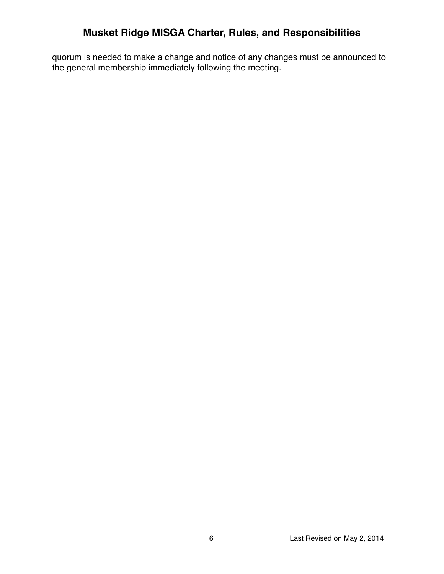quorum is needed to make a change and notice of any changes must be announced to the general membership immediately following the meeting.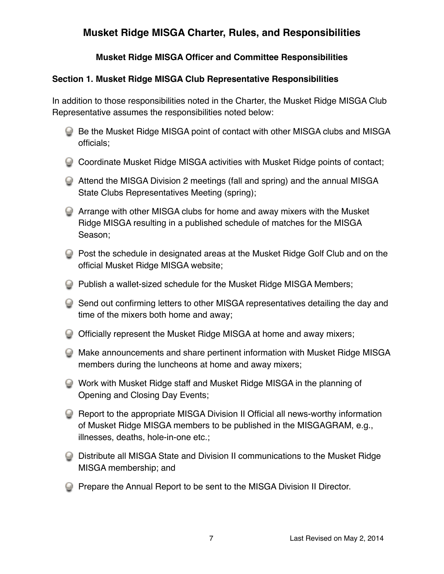## **Musket Ridge MISGA Officer and Committee Responsibilities**

## **Section 1. Musket Ridge MISGA Club Representative Responsibilities**

In addition to those responsibilities noted in the Charter, the Musket Ridge MISGA Club Representative assumes the responsibilities noted below:

- **Be the Musket Ridge MISGA point of contact with other MISGA clubs and MISGA** officials;
- Coordinate Musket Ridge MISGA activities with Musket Ridge points of contact;
- Attend the MISGA Division 2 meetings (fall and spring) and the annual MISGA State Clubs Representatives Meeting (spring);
- Arrange with other MISGA clubs for home and away mixers with the Musket Ridge MISGA resulting in a published schedule of matches for the MISGA Season;
- Post the schedule in designated areas at the Musket Ridge Golf Club and on the official Musket Ridge MISGA website;
- Publish a wallet-sized schedule for the Musket Ridge MISGA Members;
- Send out confirming letters to other MISGA representatives detailing the day and time of the mixers both home and away;
- Officially represent the Musket Ridge MISGA at home and away mixers;
- Make announcements and share pertinent information with Musket Ridge MISGA members during the luncheons at home and away mixers;
- Work with Musket Ridge staff and Musket Ridge MISGA in the planning of Opening and Closing Day Events;
- Report to the appropriate MISGA Division II Official all news-worthy information of Musket Ridge MISGA members to be published in the MISGAGRAM, e.g., illnesses, deaths, hole-in-one etc.;
- Distribute all MISGA State and Division II communications to the Musket Ridge MISGA membership; and
- **Prepare the Annual Report to be sent to the MISGA Division II Director.**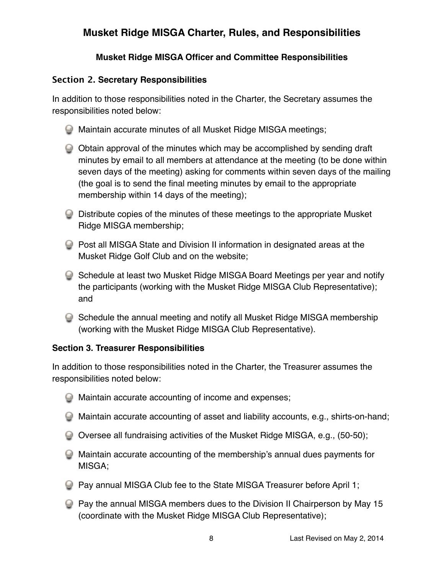## **Musket Ridge MISGA Officer and Committee Responsibilities**

### **Section 2. Secretary Responsibilities**

In addition to those responsibilities noted in the Charter, the Secretary assumes the responsibilities noted below:

- Maintain accurate minutes of all Musket Ridge MISGA meetings;
- Obtain approval of the minutes which may be accomplished by sending draft minutes by email to all members at attendance at the meeting (to be done within seven days of the meeting) asking for comments within seven days of the mailing (the goal is to send the final meeting minutes by email to the appropriate membership within 14 days of the meeting);
- Distribute copies of the minutes of these meetings to the appropriate Musket Ridge MISGA membership;
- **Post all MISGA State and Division II information in designated areas at the** Musket Ridge Golf Club and on the website;
- Schedule at least two Musket Ridge MISGA Board Meetings per year and notify the participants (working with the Musket Ridge MISGA Club Representative); and
- Schedule the annual meeting and notify all Musket Ridge MISGA membership (working with the Musket Ridge MISGA Club Representative).

### **Section 3. Treasurer Responsibilities**

In addition to those responsibilities noted in the Charter, the Treasurer assumes the responsibilities noted below:

- Maintain accurate accounting of income and expenses;
- Maintain accurate accounting of asset and liability accounts, e.g., shirts-on-hand;
- Oversee all fundraising activities of the Musket Ridge MISGA, e.g., (50-50);
- Maintain accurate accounting of the membership's annual dues payments for MISGA;
- **Pay annual MISGA Club fee to the State MISGA Treasurer before April 1;**
- **Pay the annual MISGA members dues to the Division II Chairperson by May 15** (coordinate with the Musket Ridge MISGA Club Representative);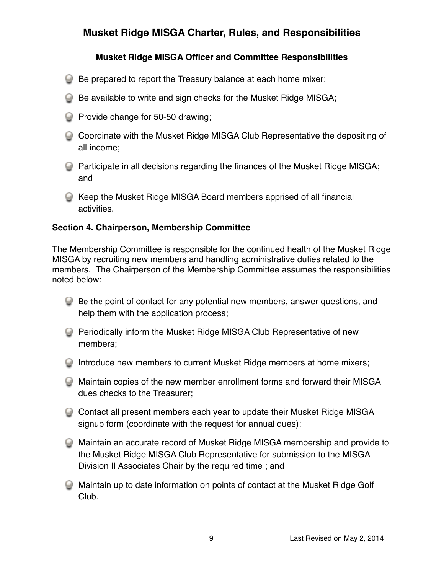## **Musket Ridge MISGA Officer and Committee Responsibilities**

- Be prepared to report the Treasury balance at each home mixer;
- **Be available to write and sign checks for the Musket Ridge MISGA;**
- **Provide change for 50-50 drawing;**
- Coordinate with the Musket Ridge MISGA Club Representative the depositing of all income;
- Participate in all decisions regarding the finances of the Musket Ridge MISGA; and
- Keep the Musket Ridge MISGA Board members apprised of all financial activities.

#### **Section 4. Chairperson, Membership Committee**

The Membership Committee is responsible for the continued health of the Musket Ridge MISGA by recruiting new members and handling administrative duties related to the members.The Chairperson of the Membership Committee assumes the responsibilities noted below:

- Be the point of contact for any potential new members, answer questions, and help them with the application process;
- **Periodically inform the Musket Ridge MISGA Club Representative of new** members;
- Introduce new members to current Musket Ridge members at home mixers;
- Maintain copies of the new member enrollment forms and forward their MISGA dues checks to the Treasurer;
- Contact all present members each year to update their Musket Ridge MISGA signup form (coordinate with the request for annual dues);
- Maintain an accurate record of Musket Ridge MISGA membership and provide to the Musket Ridge MISGA Club Representative for submission to the MISGA Division II Associates Chair by the required time ; and
- Maintain up to date information on points of contact at the Musket Ridge Golf Club.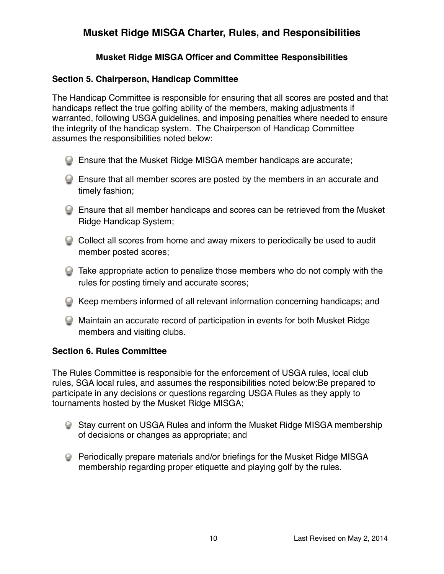### **Musket Ridge MISGA Officer and Committee Responsibilities**

#### **Section 5. Chairperson, Handicap Committee**

The Handicap Committee is responsible for ensuring that all scores are posted and that handicaps reflect the true golfing ability of the members, making adjustments if warranted, following USGA guidelines, and imposing penalties where needed to ensure the integrity of the handicap system. The Chairperson of Handicap Committee assumes the responsibilities noted below:

- Ensure that the Musket Ridge MISGA member handicaps are accurate;
- Ensure that all member scores are posted by the members in an accurate and timely fashion;
- Ensure that all member handicaps and scores can be retrieved from the Musket Ridge Handicap System;
- Collect all scores from home and away mixers to periodically be used to audit member posted scores;
- Take appropriate action to penalize those members who do not comply with the rules for posting timely and accurate scores;
- Keep members informed of all relevant information concerning handicaps; and
- Maintain an accurate record of participation in events for both Musket Ridge members and visiting clubs.

#### **Section 6. Rules Committee**

The Rules Committee is responsible for the enforcement of USGA rules, local club rules, SGA local rules, and assumes the responsibilities noted below:Be prepared to participate in any decisions or questions regarding USGA Rules as they apply to tournaments hosted by the Musket Ridge MISGA;

- Stay current on USGA Rules and inform the Musket Ridge MISGA membership of decisions or changes as appropriate; and
- Periodically prepare materials and/or briefings for the Musket Ridge MISGA membership regarding proper etiquette and playing golf by the rules.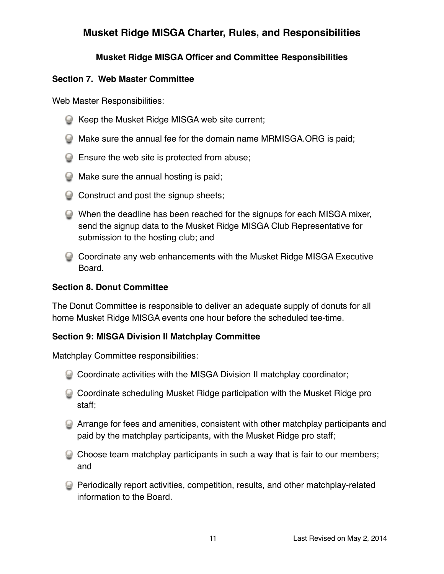## **Musket Ridge MISGA Officer and Committee Responsibilities**

### **Section 7. Web Master Committee**

Web Master Responsibilities:

- **E** Keep the Musket Ridge MISGA web site current;
- Make sure the annual fee for the domain name MRMISGA.ORG is paid;
- **Ensure the web site is protected from abuse;**
- **Make sure the annual hosting is paid;**
- Construct and post the signup sheets;
- When the deadline has been reached for the signups for each MISGA mixer, send the signup data to the Musket Ridge MISGA Club Representative for submission to the hosting club; and
- Coordinate any web enhancements with the Musket Ridge MISGA Executive Board.

### **Section 8. Donut Committee**

The Donut Committee is responsible to deliver an adequate supply of donuts for all home Musket Ridge MISGA events one hour before the scheduled tee-time.

### **Section 9: MISGA Division II Matchplay Committee**

Matchplay Committee responsibilities:

- Coordinate activities with the MISGA Division II matchplay coordinator;
- Coordinate scheduling Musket Ridge participation with the Musket Ridge pro staff;
- Arrange for fees and amenities, consistent with other matchplay participants and paid by the matchplay participants, with the Musket Ridge pro staff;
- Choose team matchplay participants in such a way that is fair to our members; and
- Periodically report activities, competition, results, and other matchplay-related information to the Board.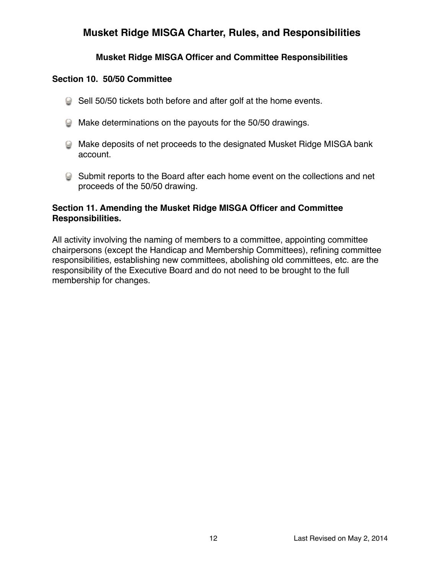## **Musket Ridge MISGA Officer and Committee Responsibilities**

#### **Section 10. 50/50 Committee**

- Sell 50/50 tickets both before and after golf at the home events.
- Make determinations on the payouts for the 50/50 drawings.
- Make deposits of net proceeds to the designated Musket Ridge MISGA bank account.
- Submit reports to the Board after each home event on the collections and net proceeds of the 50/50 drawing.

### **Section 11. Amending the Musket Ridge MISGA Officer and Committee Responsibilities.**

All activity involving the naming of members to a committee, appointing committee chairpersons (except the Handicap and Membership Committees), refining committee responsibilities, establishing new committees, abolishing old committees, etc. are the responsibility of the Executive Board and do not need to be brought to the full membership for changes.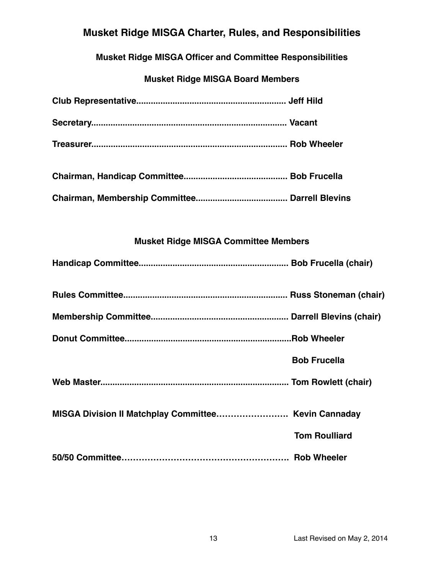**Musket Ridge MISGA Officer and Committee Responsibilities**

## **Musket Ridge MISGA Board Members**

| <b>Musket Ridge MISGA Committee Members</b>          |                      |
|------------------------------------------------------|----------------------|
|                                                      |                      |
|                                                      |                      |
|                                                      |                      |
|                                                      |                      |
|                                                      | <b>Bob Frucella</b>  |
|                                                      |                      |
| MISGA Division II Matchplay Committee Kevin Cannaday |                      |
|                                                      | <b>Tom Roulliard</b> |
|                                                      |                      |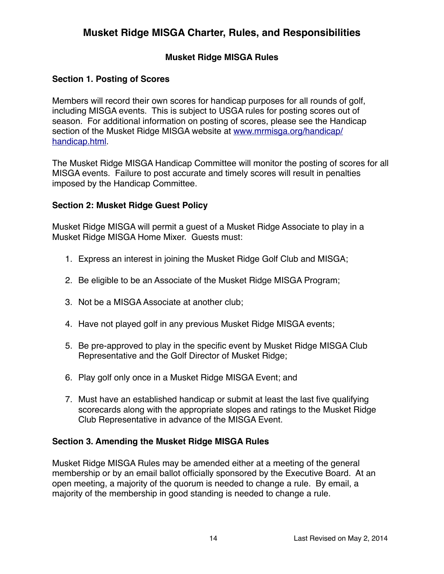### **Musket Ridge MISGA Rules**

#### **Section 1. Posting of Scores**

Members will record their own scores for handicap purposes for all rounds of golf, including MISGA events. This is subject to USGA rules for posting scores out of season. For additional information on posting of scores, please see the Handicap [section of the Musket Ridge MISGA website at www.mrmisga.org/handicap/](http://www.mrmisga.org/handicap/handicap.html) handicap.html.

The Musket Ridge MISGA Handicap Committee will monitor the posting of scores for all MISGA events. Failure to post accurate and timely scores will result in penalties imposed by the Handicap Committee.

#### **Section 2: Musket Ridge Guest Policy**

Musket Ridge MISGA will permit a guest of a Musket Ridge Associate to play in a Musket Ridge MISGA Home Mixer. Guests must:

- 1. Express an interest in joining the Musket Ridge Golf Club and MISGA;
- 2. Be eligible to be an Associate of the Musket Ridge MISGA Program;
- 3. Not be a MISGA Associate at another club;
- 4. Have not played golf in any previous Musket Ridge MISGA events;
- 5. Be pre-approved to play in the specific event by Musket Ridge MISGA Club Representative and the Golf Director of Musket Ridge;
- 6. Play golf only once in a Musket Ridge MISGA Event; and
- 7. Must have an established handicap or submit at least the last five qualifying scorecards along with the appropriate slopes and ratings to the Musket Ridge Club Representative in advance of the MISGA Event.

#### **Section 3. Amending the Musket Ridge MISGA Rules**

Musket Ridge MISGA Rules may be amended either at a meeting of the general membership or by an email ballot officially sponsored by the Executive Board. At an open meeting, a majority of the quorum is needed to change a rule. By email, a majority of the membership in good standing is needed to change a rule.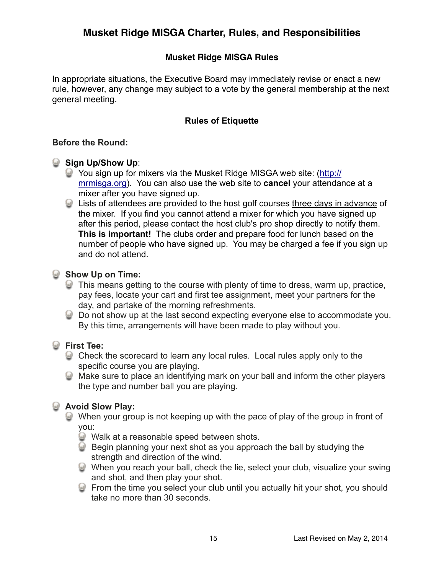## **Musket Ridge MISGA Rules**

In appropriate situations, the Executive Board may immediately revise or enact a new rule, however, any change may subject to a vote by the general membership at the next general meeting.

## **Rules of Etiquette**

#### **Before the Round:**

#### **Sign Up/Show Up:**

- [You sign up for mixers via the Musket Ridge MISGA web site: \(http://](http://mrmisga.org/) mrmisga.org). You can also use the web site to **cancel** your attendance at a mixer after you have signed up.
- Lists of attendees are provided to the host golf courses three days in advance of the mixer. If you find you cannot attend a mixer for which you have signed up after this period, please contact the host club's pro shop directly to notify them. **This is important!** The clubs order and prepare food for lunch based on the number of people who have signed up. You may be charged a fee if you sign up and do not attend.

#### **Show Up on Time:**

- This means getting to the course with plenty of time to dress, warm up, practice, pay fees, locate your cart and first tee assignment, meet your partners for the day, and partake of the morning refreshments.
- Do not show up at the last second expecting everyone else to accommodate you. By this time, arrangements will have been made to play without you.

### **First Tee:**

- Check the scorecard to learn any local rules. Local rules apply only to the specific course you are playing.
- Make sure to place an identifying mark on your ball and inform the other players the type and number ball you are playing.

## **Avoid Slow Play:**

- When your group is not keeping up with the pace of play of the group in front of you:
	- **Walk at a reasonable speed between shots.**
	- Begin planning your next shot as you approach the ball by studying the strength and direction of the wind.
	- When you reach your ball, check the lie, select your club, visualize your swing and shot, and then play your shot.
	- From the time you select your club until you actually hit your shot, you should take no more than 30 seconds.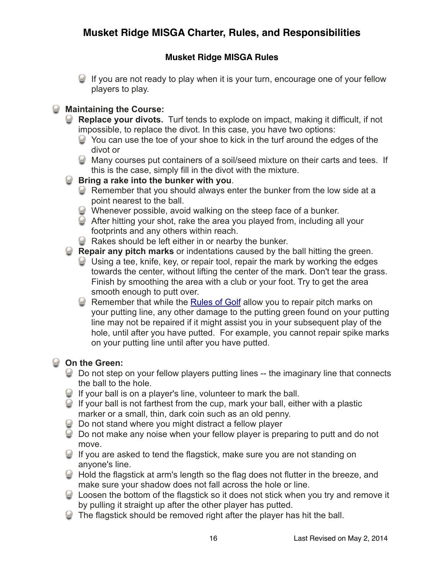## **Musket Ridge MISGA Rules**

If you are not ready to play when it is your turn, encourage one of your fellow players to play.

## **Maintaining the Course:**

- **Replace your divots.** Turf tends to explode on impact, making it difficult, if not impossible, to replace the divot. In this case, you have two options:
	- You can use the toe of your shoe to kick in the turf around the edges of the divot or
	- Many courses put containers of a soil/seed mixture on their carts and tees. If this is the case, simply fill in the divot with the mixture.

### **Bring a rake into the bunker with you**.

- Remember that you should always enter the bunker from the low side at a point nearest to the ball.
- Whenever possible, avoid walking on the steep face of a bunker.
- After hitting your shot, rake the area you played from, including all your footprints and any others within reach.
- **Rakes should be left either in or nearby the bunker.**

**Repair any pitch marks** or indentations caused by the ball hitting the green.

- Using a tee, knife, key, or repair tool, repair the mark by working the edges towards the center, without lifting the center of the mark. Don't tear the grass. Finish by smoothing the area with a club or your foot. Try to get the area smooth enough to putt over.
- **C** Remember that while the [Rules of Golf](http://www.usga.org/playing/rules/rules.html) allow you to repair pitch marks on your putting line, any other damage to the putting green found on your putting line may not be repaired if it might assist you in your subsequent play of the hole, until after you have putted. For example, you cannot repair spike marks on your putting line until after you have putted.

## **On the Green:**

- **Q** Do not step on your fellow players putting lines -- the imaginary line that connects the ball to the hole.
- If your ball is on a player's line, volunteer to mark the ball.
- If your ball is not farthest from the cup, mark your ball, either with a plastic marker or a small, thin, dark coin such as an old penny.
- **Q** Do not stand where you might distract a fellow player
- Do not make any noise when your fellow player is preparing to putt and do not move.
- If you are asked to tend the flagstick, make sure you are not standing on anyone's line.
- Hold the flagstick at arm's length so the flag does not flutter in the breeze, and make sure your shadow does not fall across the hole or line.
- Loosen the bottom of the flagstick so it does not stick when you try and remove it by pulling it straight up after the other player has putted.
- The flagstick should be removed right after the player has hit the ball.